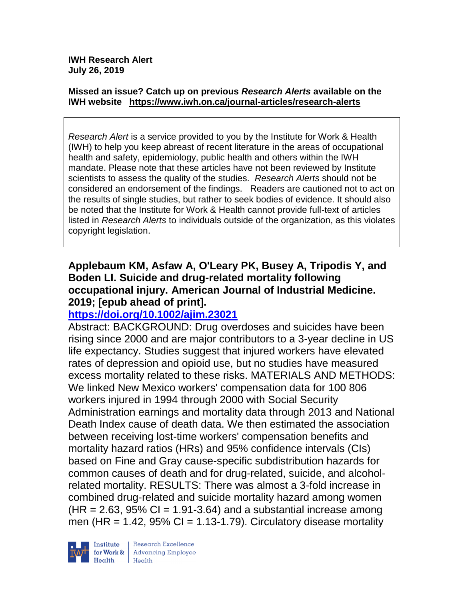#### **Missed an issue? Catch up on previous** *Research Alerts* **available on the [IWH website](http://www.iwh.on.ca/research-alerts) <https://www.iwh.on.ca/journal-articles/research-alerts>**

*Research Alert* is a service provided to you by the Institute for Work & Health (IWH) to help you keep abreast of recent literature in the areas of occupational health and safety, epidemiology, public health and others within the IWH mandate. Please note that these articles have not been reviewed by Institute scientists to assess the quality of the studies. *Research Alerts* should not be considered an endorsement of the findings. Readers are cautioned not to act on the results of single studies, but rather to seek bodies of evidence. It should also be noted that the Institute for Work & Health cannot provide full-text of articles listed in *Research Alerts* to individuals outside of the organization, as this violates copyright legislation.

### **Applebaum KM, Asfaw A, O'Leary PK, Busey A, Tripodis Y, and Boden LI. Suicide and drug-related mortality following occupational injury. American Journal of Industrial Medicine. 2019; [epub ahead of print].**

## **<https://doi.org/10.1002/ajim.23021>**

Abstract: BACKGROUND: Drug overdoses and suicides have been rising since 2000 and are major contributors to a 3-year decline in US life expectancy. Studies suggest that injured workers have elevated rates of depression and opioid use, but no studies have measured excess mortality related to these risks. MATERIALS AND METHODS: We linked New Mexico workers' compensation data for 100 806 workers injured in 1994 through 2000 with Social Security Administration earnings and mortality data through 2013 and National Death Index cause of death data. We then estimated the association between receiving lost-time workers' compensation benefits and mortality hazard ratios (HRs) and 95% confidence intervals (CIs) based on Fine and Gray cause-specific subdistribution hazards for common causes of death and for drug-related, suicide, and alcoholrelated mortality. RESULTS: There was almost a 3-fold increase in combined drug-related and suicide mortality hazard among women  $(HR = 2.63, 95\% \text{ Cl} = 1.91-3.64)$  and a substantial increase among men (HR = 1.42,  $95\%$  CI = 1.13-1.79). Circulatory disease mortality

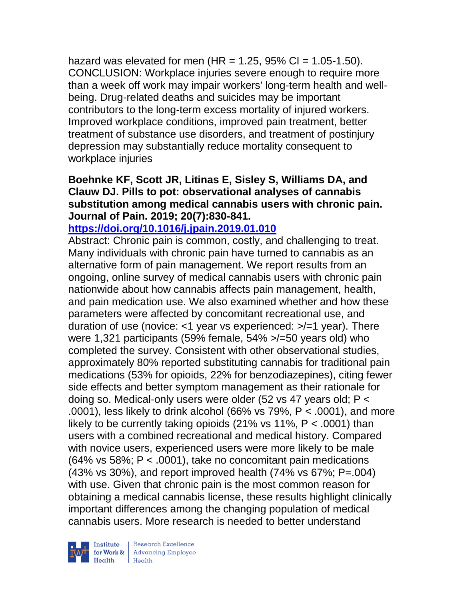hazard was elevated for men  $(HR = 1.25, 95\% \text{ Cl} = 1.05\text{-}1.50)$ . CONCLUSION: Workplace injuries severe enough to require more than a week off work may impair workers' long-term health and wellbeing. Drug-related deaths and suicides may be important contributors to the long-term excess mortality of injured workers. Improved workplace conditions, improved pain treatment, better treatment of substance use disorders, and treatment of postinjury depression may substantially reduce mortality consequent to workplace injuries

### **Boehnke KF, Scott JR, Litinas E, Sisley S, Williams DA, and Clauw DJ. Pills to pot: observational analyses of cannabis substitution among medical cannabis users with chronic pain. Journal of Pain. 2019; 20(7):830-841.**

## **<https://doi.org/10.1016/j.jpain.2019.01.010>**

Abstract: Chronic pain is common, costly, and challenging to treat. Many individuals with chronic pain have turned to cannabis as an alternative form of pain management. We report results from an ongoing, online survey of medical cannabis users with chronic pain nationwide about how cannabis affects pain management, health, and pain medication use. We also examined whether and how these parameters were affected by concomitant recreational use, and duration of use (novice: <1 year vs experienced: >/=1 year). There were 1,321 participants (59% female, 54% >/=50 years old) who completed the survey. Consistent with other observational studies, approximately 80% reported substituting cannabis for traditional pain medications (53% for opioids, 22% for benzodiazepines), citing fewer side effects and better symptom management as their rationale for doing so. Medical-only users were older (52 vs 47 years old; P < .0001), less likely to drink alcohol (66% vs 79%, P < .0001), and more likely to be currently taking opioids  $(21\% \text{ vs } 11\% , P < .0001)$  than users with a combined recreational and medical history. Compared with novice users, experienced users were more likely to be male (64% vs 58%; P < .0001), take no concomitant pain medications (43% vs 30%), and report improved health (74% vs 67%; P=.004) with use. Given that chronic pain is the most common reason for obtaining a medical cannabis license, these results highlight clinically important differences among the changing population of medical cannabis users. More research is needed to better understand



 $\begin{tabular}{|l|} Institute & Research Excellence \\ \hline for Work & Advancing Employee \\ Health & Health \\ \end{tabular}$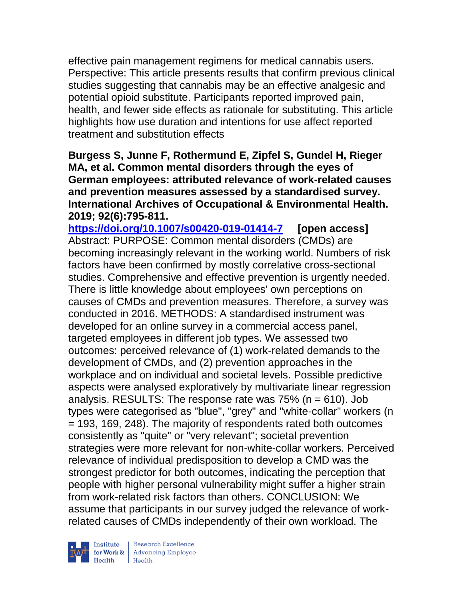effective pain management regimens for medical cannabis users. Perspective: This article presents results that confirm previous clinical studies suggesting that cannabis may be an effective analgesic and potential opioid substitute. Participants reported improved pain, health, and fewer side effects as rationale for substituting. This article highlights how use duration and intentions for use affect reported treatment and substitution effects

**Burgess S, Junne F, Rothermund E, Zipfel S, Gundel H, Rieger MA, et al. Common mental disorders through the eyes of German employees: attributed relevance of work-related causes and prevention measures assessed by a standardised survey. International Archives of Occupational & Environmental Health. 2019; 92(6):795-811.** 

**<https://doi.org/10.1007/s00420-019-01414-7> [open access]** Abstract: PURPOSE: Common mental disorders (CMDs) are becoming increasingly relevant in the working world. Numbers of risk factors have been confirmed by mostly correlative cross-sectional studies. Comprehensive and effective prevention is urgently needed. There is little knowledge about employees' own perceptions on causes of CMDs and prevention measures. Therefore, a survey was conducted in 2016. METHODS: A standardised instrument was developed for an online survey in a commercial access panel, targeted employees in different job types. We assessed two outcomes: perceived relevance of (1) work-related demands to the development of CMDs, and (2) prevention approaches in the workplace and on individual and societal levels. Possible predictive aspects were analysed exploratively by multivariate linear regression analysis. RESULTS: The response rate was  $75\%$  (n = 610). Job types were categorised as "blue", "grey" and "white-collar" workers (n = 193, 169, 248). The majority of respondents rated both outcomes consistently as "quite" or "very relevant"; societal prevention strategies were more relevant for non-white-collar workers. Perceived relevance of individual predisposition to develop a CMD was the strongest predictor for both outcomes, indicating the perception that people with higher personal vulnerability might suffer a higher strain from work-related risk factors than others. CONCLUSION: We assume that participants in our survey judged the relevance of workrelated causes of CMDs independently of their own workload. The



| Research Excellence **Institute** Research Excellence<br> **Fractional Advancing Employee**<br> **Health** Health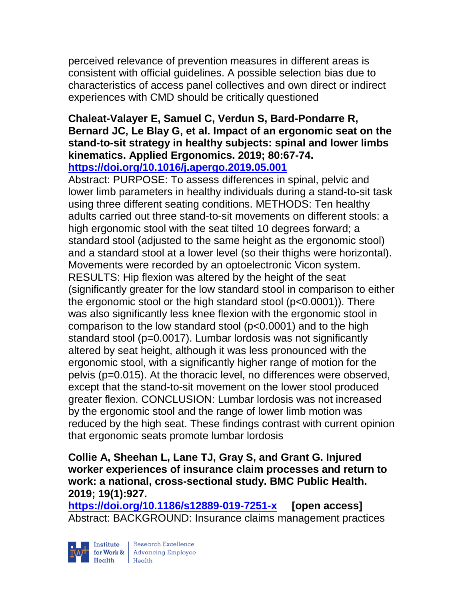perceived relevance of prevention measures in different areas is consistent with official guidelines. A possible selection bias due to characteristics of access panel collectives and own direct or indirect experiences with CMD should be critically questioned

### **Chaleat-Valayer E, Samuel C, Verdun S, Bard-Pondarre R, Bernard JC, Le Blay G, et al. Impact of an ergonomic seat on the stand-to-sit strategy in healthy subjects: spinal and lower limbs kinematics. Applied Ergonomics. 2019; 80:67-74. <https://doi.org/10.1016/j.apergo.2019.05.001>**

Abstract: PURPOSE: To assess differences in spinal, pelvic and lower limb parameters in healthy individuals during a stand-to-sit task using three different seating conditions. METHODS: Ten healthy adults carried out three stand-to-sit movements on different stools: a high ergonomic stool with the seat tilted 10 degrees forward; a standard stool (adjusted to the same height as the ergonomic stool) and a standard stool at a lower level (so their thighs were horizontal). Movements were recorded by an optoelectronic Vicon system. RESULTS: Hip flexion was altered by the height of the seat (significantly greater for the low standard stool in comparison to either the ergonomic stool or the high standard stool (p<0.0001)). There was also significantly less knee flexion with the ergonomic stool in comparison to the low standard stool (p<0.0001) and to the high standard stool (p=0.0017). Lumbar lordosis was not significantly altered by seat height, although it was less pronounced with the ergonomic stool, with a significantly higher range of motion for the pelvis (p=0.015). At the thoracic level, no differences were observed, except that the stand-to-sit movement on the lower stool produced greater flexion. CONCLUSION: Lumbar lordosis was not increased by the ergonomic stool and the range of lower limb motion was reduced by the high seat. These findings contrast with current opinion that ergonomic seats promote lumbar lordosis

### **Collie A, Sheehan L, Lane TJ, Gray S, and Grant G. Injured worker experiences of insurance claim processes and return to work: a national, cross-sectional study. BMC Public Health. 2019; 19(1):927.**

**<https://doi.org/10.1186/s12889-019-7251-x> [open access]** Abstract: BACKGROUND: Insurance claims management practices

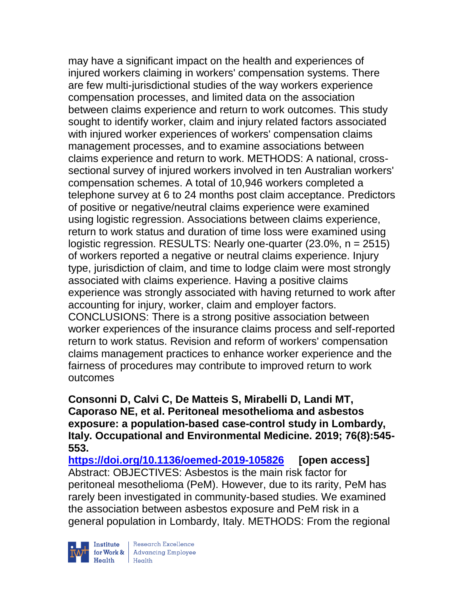may have a significant impact on the health and experiences of injured workers claiming in workers' compensation systems. There are few multi-jurisdictional studies of the way workers experience compensation processes, and limited data on the association between claims experience and return to work outcomes. This study sought to identify worker, claim and injury related factors associated with injured worker experiences of workers' compensation claims management processes, and to examine associations between claims experience and return to work. METHODS: A national, crosssectional survey of injured workers involved in ten Australian workers' compensation schemes. A total of 10,946 workers completed a telephone survey at 6 to 24 months post claim acceptance. Predictors of positive or negative/neutral claims experience were examined using logistic regression. Associations between claims experience, return to work status and duration of time loss were examined using logistic regression. RESULTS: Nearly one-quarter (23.0%, n = 2515) of workers reported a negative or neutral claims experience. Injury type, jurisdiction of claim, and time to lodge claim were most strongly associated with claims experience. Having a positive claims experience was strongly associated with having returned to work after accounting for injury, worker, claim and employer factors. CONCLUSIONS: There is a strong positive association between worker experiences of the insurance claims process and self-reported return to work status. Revision and reform of workers' compensation claims management practices to enhance worker experience and the fairness of procedures may contribute to improved return to work outcomes

**Consonni D, Calvi C, De Matteis S, Mirabelli D, Landi MT, Caporaso NE, et al. Peritoneal mesothelioma and asbestos exposure: a population-based case-control study in Lombardy, Italy. Occupational and Environmental Medicine. 2019; 76(8):545- 553.** 

**<https://doi.org/10.1136/oemed-2019-105826> [open access]** Abstract: OBJECTIVES: Asbestos is the main risk factor for peritoneal mesothelioma (PeM). However, due to its rarity, PeM has rarely been investigated in community-based studies. We examined the association between asbestos exposure and PeM risk in a general population in Lombardy, Italy. METHODS: From the regional

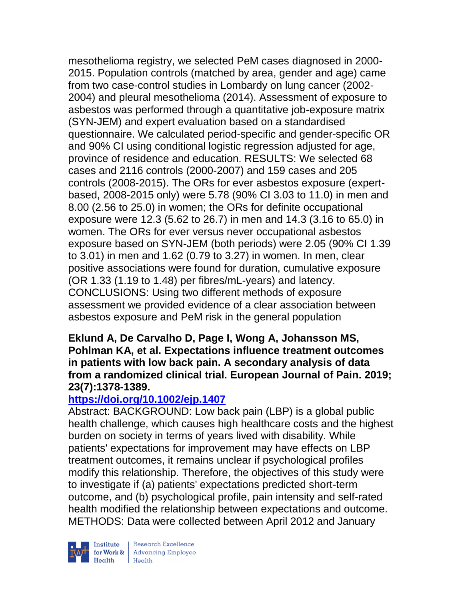mesothelioma registry, we selected PeM cases diagnosed in 2000- 2015. Population controls (matched by area, gender and age) came from two case-control studies in Lombardy on lung cancer (2002- 2004) and pleural mesothelioma (2014). Assessment of exposure to asbestos was performed through a quantitative job-exposure matrix (SYN-JEM) and expert evaluation based on a standardised questionnaire. We calculated period-specific and gender-specific OR and 90% CI using conditional logistic regression adjusted for age, province of residence and education. RESULTS: We selected 68 cases and 2116 controls (2000-2007) and 159 cases and 205 controls (2008-2015). The ORs for ever asbestos exposure (expertbased, 2008-2015 only) were 5.78 (90% CI 3.03 to 11.0) in men and 8.00 (2.56 to 25.0) in women; the ORs for definite occupational exposure were 12.3 (5.62 to 26.7) in men and 14.3 (3.16 to 65.0) in women. The ORs for ever versus never occupational asbestos exposure based on SYN-JEM (both periods) were 2.05 (90% CI 1.39 to 3.01) in men and 1.62 (0.79 to 3.27) in women. In men, clear positive associations were found for duration, cumulative exposure (OR 1.33 (1.19 to 1.48) per fibres/mL-years) and latency. CONCLUSIONS: Using two different methods of exposure assessment we provided evidence of a clear association between asbestos exposure and PeM risk in the general population

### **Eklund A, De Carvalho D, Page I, Wong A, Johansson MS, Pohlman KA, et al. Expectations influence treatment outcomes in patients with low back pain. A secondary analysis of data from a randomized clinical trial. European Journal of Pain. 2019; 23(7):1378-1389.**

## **<https://doi.org/10.1002/ejp.1407>**

Abstract: BACKGROUND: Low back pain (LBP) is a global public health challenge, which causes high healthcare costs and the highest burden on society in terms of years lived with disability. While patients' expectations for improvement may have effects on LBP treatment outcomes, it remains unclear if psychological profiles modify this relationship. Therefore, the objectives of this study were to investigate if (a) patients' expectations predicted short-term outcome, and (b) psychological profile, pain intensity and self-rated health modified the relationship between expectations and outcome. METHODS: Data were collected between April 2012 and January



| Research Excellence **Institute** Research Excellence<br> **Fractional Employee Health**<br>
Health<br>
Health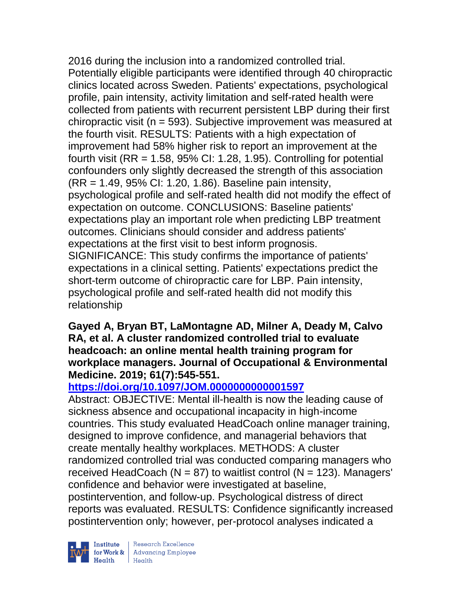2016 during the inclusion into a randomized controlled trial. Potentially eligible participants were identified through 40 chiropractic clinics located across Sweden. Patients' expectations, psychological profile, pain intensity, activity limitation and self-rated health were collected from patients with recurrent persistent LBP during their first chiropractic visit (n = 593). Subjective improvement was measured at the fourth visit. RESULTS: Patients with a high expectation of improvement had 58% higher risk to report an improvement at the fourth visit  $(RR = 1.58, 95\% \text{ Cl: } 1.28, 1.95)$ . Controlling for potential confounders only slightly decreased the strength of this association (RR = 1.49, 95% CI: 1.20, 1.86). Baseline pain intensity, psychological profile and self-rated health did not modify the effect of expectation on outcome. CONCLUSIONS: Baseline patients' expectations play an important role when predicting LBP treatment outcomes. Clinicians should consider and address patients' expectations at the first visit to best inform prognosis. SIGNIFICANCE: This study confirms the importance of patients' expectations in a clinical setting. Patients' expectations predict the short-term outcome of chiropractic care for LBP. Pain intensity, psychological profile and self-rated health did not modify this relationship

### **Gayed A, Bryan BT, LaMontagne AD, Milner A, Deady M, Calvo RA, et al. A cluster randomized controlled trial to evaluate headcoach: an online mental health training program for workplace managers. Journal of Occupational & Environmental Medicine. 2019; 61(7):545-551.**

# **<https://doi.org/10.1097/JOM.0000000000001597>**

Abstract: OBJECTIVE: Mental ill-health is now the leading cause of sickness absence and occupational incapacity in high-income countries. This study evaluated HeadCoach online manager training, designed to improve confidence, and managerial behaviors that create mentally healthy workplaces. METHODS: A cluster randomized controlled trial was conducted comparing managers who received HeadCoach ( $N = 87$ ) to waitlist control ( $N = 123$ ). Managers' confidence and behavior were investigated at baseline, postintervention, and follow-up. Psychological distress of direct reports was evaluated. RESULTS: Confidence significantly increased postintervention only; however, per-protocol analyses indicated a

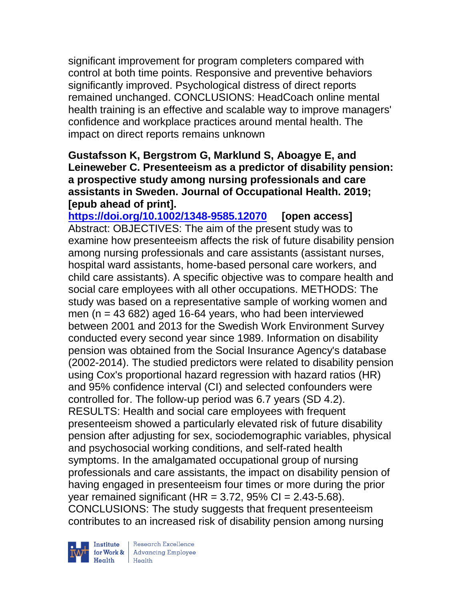significant improvement for program completers compared with control at both time points. Responsive and preventive behaviors significantly improved. Psychological distress of direct reports remained unchanged. CONCLUSIONS: HeadCoach online mental health training is an effective and scalable way to improve managers' confidence and workplace practices around mental health. The impact on direct reports remains unknown

### **Gustafsson K, Bergstrom G, Marklund S, Aboagye E, and Leineweber C. Presenteeism as a predictor of disability pension: a prospective study among nursing professionals and care assistants in Sweden. Journal of Occupational Health. 2019; [epub ahead of print].**

**<https://doi.org/10.1002/1348-9585.12070> [open access]** Abstract: OBJECTIVES: The aim of the present study was to examine how presenteeism affects the risk of future disability pension among nursing professionals and care assistants (assistant nurses, hospital ward assistants, home-based personal care workers, and child care assistants). A specific objective was to compare health and social care employees with all other occupations. METHODS: The study was based on a representative sample of working women and men ( $n = 43682$ ) aged 16-64 years, who had been interviewed between 2001 and 2013 for the Swedish Work Environment Survey conducted every second year since 1989. Information on disability pension was obtained from the Social Insurance Agency's database (2002-2014). The studied predictors were related to disability pension using Cox's proportional hazard regression with hazard ratios (HR) and 95% confidence interval (CI) and selected confounders were controlled for. The follow-up period was 6.7 years (SD 4.2). RESULTS: Health and social care employees with frequent presenteeism showed a particularly elevated risk of future disability pension after adjusting for sex, sociodemographic variables, physical and psychosocial working conditions, and self-rated health symptoms. In the amalgamated occupational group of nursing professionals and care assistants, the impact on disability pension of having engaged in presenteeism four times or more during the prior year remained significant (HR =  $3.72$ ,  $95\%$  CI =  $2.43-5.68$ ). CONCLUSIONS: The study suggests that frequent presenteeism contributes to an increased risk of disability pension among nursing

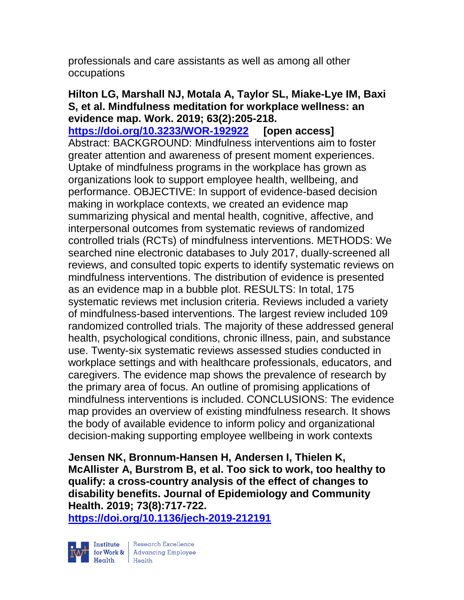professionals and care assistants as well as among all other occupations

### **Hilton LG, Marshall NJ, Motala A, Taylor SL, Miake-Lye IM, Baxi S, et al. Mindfulness meditation for workplace wellness: an evidence map. Work. 2019; 63(2):205-218.**

**<https://doi.org/10.3233/WOR-192922> [open access]** Abstract: BACKGROUND: Mindfulness interventions aim to foster greater attention and awareness of present moment experiences. Uptake of mindfulness programs in the workplace has grown as organizations look to support employee health, wellbeing, and performance. OBJECTIVE: In support of evidence-based decision making in workplace contexts, we created an evidence map summarizing physical and mental health, cognitive, affective, and interpersonal outcomes from systematic reviews of randomized controlled trials (RCTs) of mindfulness interventions. METHODS: We searched nine electronic databases to July 2017, dually-screened all reviews, and consulted topic experts to identify systematic reviews on mindfulness interventions. The distribution of evidence is presented as an evidence map in a bubble plot. RESULTS: In total, 175 systematic reviews met inclusion criteria. Reviews included a variety of mindfulness-based interventions. The largest review included 109 randomized controlled trials. The majority of these addressed general health, psychological conditions, chronic illness, pain, and substance use. Twenty-six systematic reviews assessed studies conducted in workplace settings and with healthcare professionals, educators, and caregivers. The evidence map shows the prevalence of research by the primary area of focus. An outline of promising applications of mindfulness interventions is included. CONCLUSIONS: The evidence map provides an overview of existing mindfulness research. It shows the body of available evidence to inform policy and organizational decision-making supporting employee wellbeing in work contexts

**Jensen NK, Bronnum-Hansen H, Andersen I, Thielen K, McAllister A, Burstrom B, et al. Too sick to work, too healthy to qualify: a cross-country analysis of the effect of changes to disability benefits. Journal of Epidemiology and Community Health. 2019; 73(8):717-722.** 

**<https://doi.org/10.1136/jech-2019-212191>** 

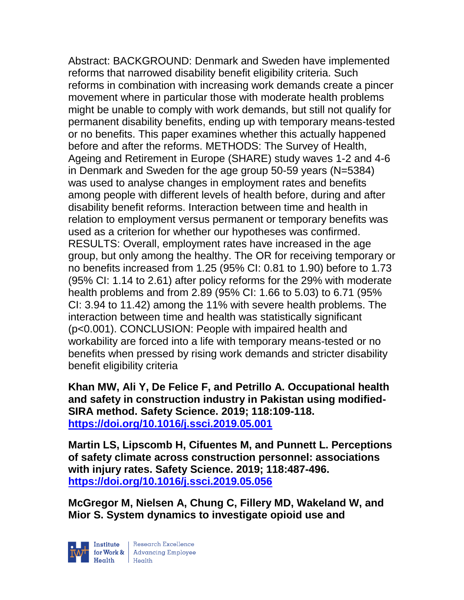Abstract: BACKGROUND: Denmark and Sweden have implemented reforms that narrowed disability benefit eligibility criteria. Such reforms in combination with increasing work demands create a pincer movement where in particular those with moderate health problems might be unable to comply with work demands, but still not qualify for permanent disability benefits, ending up with temporary means-tested or no benefits. This paper examines whether this actually happened before and after the reforms. METHODS: The Survey of Health, Ageing and Retirement in Europe (SHARE) study waves 1-2 and 4-6 in Denmark and Sweden for the age group 50-59 years (N=5384) was used to analyse changes in employment rates and benefits among people with different levels of health before, during and after disability benefit reforms. Interaction between time and health in relation to employment versus permanent or temporary benefits was used as a criterion for whether our hypotheses was confirmed. RESULTS: Overall, employment rates have increased in the age group, but only among the healthy. The OR for receiving temporary or no benefits increased from 1.25 (95% CI: 0.81 to 1.90) before to 1.73 (95% CI: 1.14 to 2.61) after policy reforms for the 29% with moderate health problems and from 2.89 (95% CI: 1.66 to 5.03) to 6.71 (95% CI: 3.94 to 11.42) among the 11% with severe health problems. The interaction between time and health was statistically significant (p<0.001). CONCLUSION: People with impaired health and workability are forced into a life with temporary means-tested or no benefits when pressed by rising work demands and stricter disability benefit eligibility criteria

**Khan MW, Ali Y, De Felice F, and Petrillo A. Occupational health and safety in construction industry in Pakistan using modified-SIRA method. Safety Science. 2019; 118:109-118. <https://doi.org/10.1016/j.ssci.2019.05.001>** 

**Martin LS, Lipscomb H, Cifuentes M, and Punnett L. Perceptions of safety climate across construction personnel: associations with injury rates. Safety Science. 2019; 118:487-496. <https://doi.org/10.1016/j.ssci.2019.05.056>** 

**McGregor M, Nielsen A, Chung C, Fillery MD, Wakeland W, and Mior S. System dynamics to investigate opioid use and** 

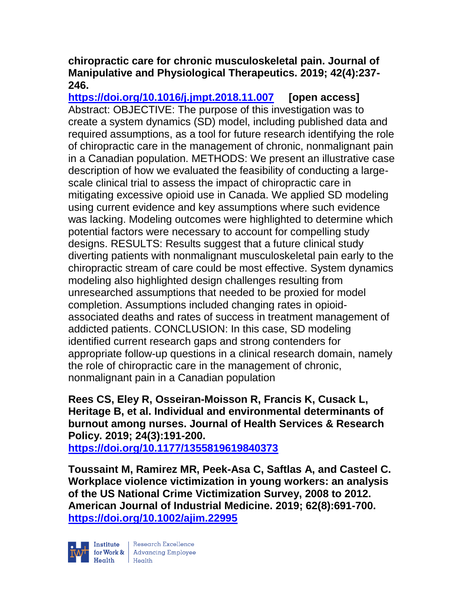### **chiropractic care for chronic musculoskeletal pain. Journal of Manipulative and Physiological Therapeutics. 2019; 42(4):237- 246.**

**<https://doi.org/10.1016/j.jmpt.2018.11.007> [open access]** Abstract: OBJECTIVE: The purpose of this investigation was to create a system dynamics (SD) model, including published data and required assumptions, as a tool for future research identifying the role of chiropractic care in the management of chronic, nonmalignant pain in a Canadian population. METHODS: We present an illustrative case description of how we evaluated the feasibility of conducting a largescale clinical trial to assess the impact of chiropractic care in mitigating excessive opioid use in Canada. We applied SD modeling using current evidence and key assumptions where such evidence was lacking. Modeling outcomes were highlighted to determine which potential factors were necessary to account for compelling study designs. RESULTS: Results suggest that a future clinical study diverting patients with nonmalignant musculoskeletal pain early to the chiropractic stream of care could be most effective. System dynamics modeling also highlighted design challenges resulting from unresearched assumptions that needed to be proxied for model completion. Assumptions included changing rates in opioidassociated deaths and rates of success in treatment management of addicted patients. CONCLUSION: In this case, SD modeling identified current research gaps and strong contenders for appropriate follow-up questions in a clinical research domain, namely the role of chiropractic care in the management of chronic, nonmalignant pain in a Canadian population

### **Rees CS, Eley R, Osseiran-Moisson R, Francis K, Cusack L, Heritage B, et al. Individual and environmental determinants of burnout among nurses. Journal of Health Services & Research Policy. 2019; 24(3):191-200.**

**<https://doi.org/10.1177/1355819619840373>** 

**Toussaint M, Ramirez MR, Peek-Asa C, Saftlas A, and Casteel C. Workplace violence victimization in young workers: an analysis of the US National Crime Victimization Survey, 2008 to 2012. American Journal of Industrial Medicine. 2019; 62(8):691-700. <https://doi.org/10.1002/ajim.22995>**